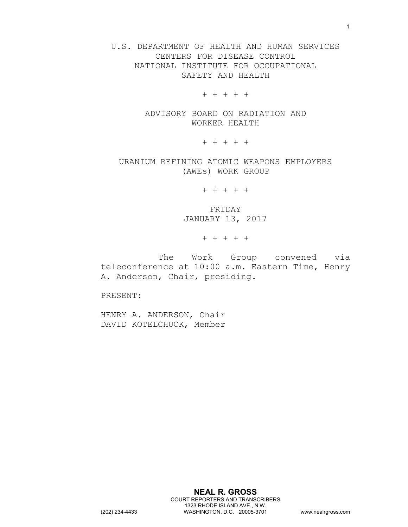U.S. DEPARTMENT OF HEALTH AND HUMAN SERVICES CENTERS FOR DISEASE CONTROL NATIONAL INSTITUTE FOR OCCUPATIONAL SAFETY AND HEALTH

+ + + + +

ADVISORY BOARD ON RADIATION AND WORKER HEALTH

+ + + + +

URANIUM REFINING ATOMIC WEAPONS EMPLOYERS (AWEs) WORK GROUP

+ + + + +

FRIDAY JANUARY 13, 2017

+ + + + +

The Work Group convened via teleconference at 10:00 a.m. Eastern Time, Henry A. Anderson, Chair, presiding.

PRESENT:

HENRY A. ANDERSON, Chair DAVID KOTELCHUCK, Member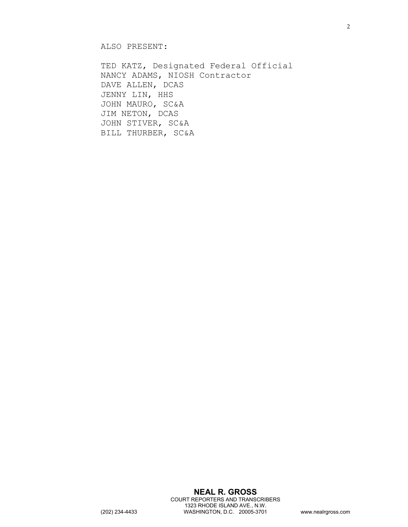ALSO PRESENT:

TED KATZ, Designated Federal Official NANCY ADAMS, NIOSH Contractor DAVE ALLEN, DCAS JENNY LIN, HHS JOHN MAURO, SC&A JIM NETON, DCAS JOHN STIVER, SC&A BILL THURBER, SC&A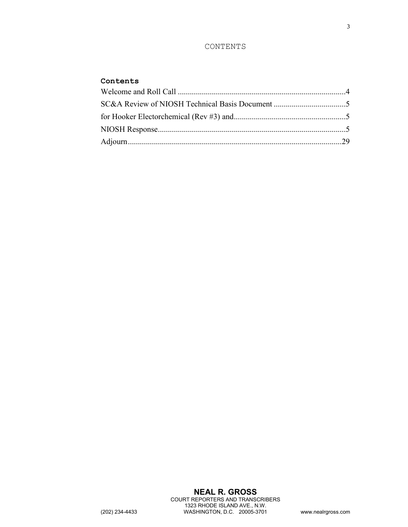## CONTENTS

## **Contents**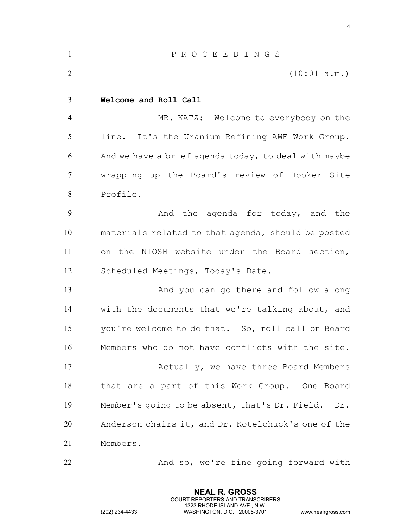<span id="page-3-0"></span>

| $\mathbf{1}$   | $P-R-O-C-E-E-D-I-N-G-S$                               |
|----------------|-------------------------------------------------------|
| $\overline{2}$ | (10:01 a.m.)                                          |
| 3              | Welcome and Roll Call                                 |
| $\overline{4}$ | MR. KATZ: Welcome to everybody on the                 |
| 5              | line. It's the Uranium Refining AWE Work Group.       |
| 6              | And we have a brief agenda today, to deal with maybe  |
| $\overline{7}$ | wrapping up the Board's review of Hooker Site         |
| 8              | Profile.                                              |
| 9              | And the agenda for today, and the                     |
| 10             | materials related to that agenda, should be posted    |
| 11             | on the NIOSH website under the Board section,         |
| 12             | Scheduled Meetings, Today's Date.                     |
| 13             | And you can go there and follow along                 |
| 14             | with the documents that we're talking about, and      |
| 15             | you're welcome to do that. So, roll call on Board     |
| 16             | Members who do not have conflicts with the site.      |
| 17             | Actually, we have three Board Members                 |
| 18             | that are a part of this Work Group. One Board         |
| 19             | Member's going to be absent, that's Dr. Field.<br>Dr. |
| 20             | Anderson chairs it, and Dr. Kotelchuck's one of the   |
| 21             | Members.                                              |
| 22             | And so, we're fine going forward with                 |

**NEAL R. GROSS** COURT REPORTERS AND TRANSCRIBERS 1323 RHODE ISLAND AVE., N.W.

(202) 234-4433 WASHINGTON, D.C. 20005-3701 www.nealrgross.com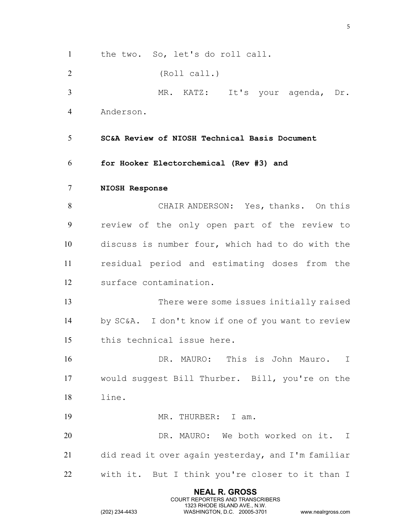<span id="page-4-2"></span><span id="page-4-1"></span><span id="page-4-0"></span>**NEAL R. GROSS** the two. So, let's do roll call. (Roll call.) MR. KATZ: It's your agenda, Dr. Anderson. **SC&A Review of NIOSH Technical Basis Document for Hooker Electorchemical (Rev #3) and NIOSH Response** CHAIR ANDERSON: Yes, thanks. On this review of the only open part of the review to discuss is number four, which had to do with the residual period and estimating doses from the surface contamination. There were some issues initially raised by SC&A. I don't know if one of you want to review this technical issue here. DR. MAURO: This is John Mauro. I would suggest Bill Thurber. Bill, you're on the line. 19 MR. THURBER: I am. DR. MAURO: We both worked on it. I did read it over again yesterday, and I'm familiar with it. But I think you're closer to it than I

COURT REPORTERS AND TRANSCRIBERS 1323 RHODE ISLAND AVE., N.W.

(202) 234-4433 WASHINGTON, D.C. 20005-3701 www.nealrgross.com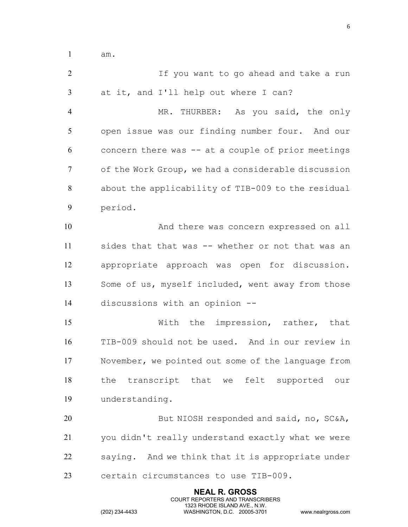am.

 If you want to go ahead and take a run at it, and I'll help out where I can? MR. THURBER: As you said, the only open issue was our finding number four. And our concern there was -- at a couple of prior meetings of the Work Group, we had a considerable discussion about the applicability of TIB-009 to the residual period. And there was concern expressed on all sides that that was -- whether or not that was an appropriate approach was open for discussion. Some of us, myself included, went away from those discussions with an opinion -- With the impression, rather, that TIB-009 should not be used. And in our review in November, we pointed out some of the language from the transcript that we felt supported our understanding. 20 But NIOSH responded and said, no, SC&A, you didn't really understand exactly what we were saying. And we think that it is appropriate under certain circumstances to use TIB-009.

> **NEAL R. GROSS** COURT REPORTERS AND TRANSCRIBERS 1323 RHODE ISLAND AVE., N.W.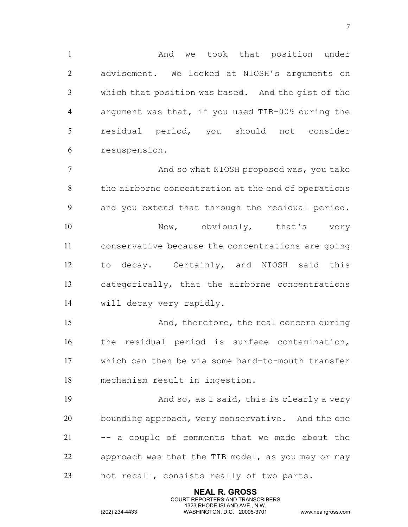1 1 And we took that position under advisement. We looked at NIOSH's arguments on which that position was based. And the gist of the argument was that, if you used TIB-009 during the residual period, you should not consider resuspension.

**And so what NIOSH proposed was, you take**  the airborne concentration at the end of operations and you extend that through the residual period. 10 Now, obviously, that's very conservative because the concentrations are going to decay. Certainly, and NIOSH said this categorically, that the airborne concentrations will decay very rapidly.

 And, therefore, the real concern during the residual period is surface contamination, which can then be via some hand-to-mouth transfer mechanism result in ingestion.

 And so, as I said, this is clearly a very 20 bounding approach, very conservative. And the one -- a couple of comments that we made about the approach was that the TIB model, as you may or may not recall, consists really of two parts.

> **NEAL R. GROSS** COURT REPORTERS AND TRANSCRIBERS 1323 RHODE ISLAND AVE., N.W.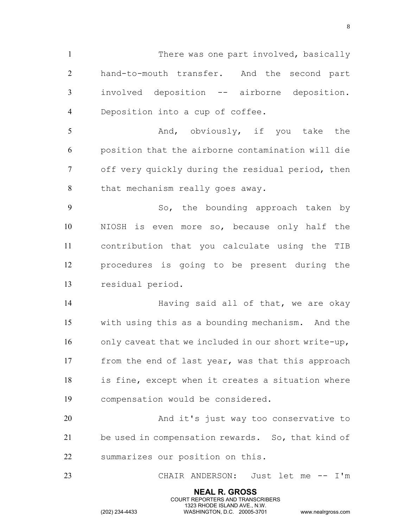1 There was one part involved, basically hand-to-mouth transfer. And the second part involved deposition -- airborne deposition. Deposition into a cup of coffee.

5 And, obviously, if you take the position that the airborne contamination will die off very quickly during the residual period, then 8 that mechanism really goes away.

9 So, the bounding approach taken by NIOSH is even more so, because only half the contribution that you calculate using the TIB procedures is going to be present during the residual period.

**Having said all of that, we are okay**  with using this as a bounding mechanism. And the only caveat that we included in our short write-up, from the end of last year, was that this approach is fine, except when it creates a situation where compensation would be considered.

 And it's just way too conservative to be used in compensation rewards. So, that kind of summarizes our position on this.

CHAIR ANDERSON: Just let me -- I'm

**NEAL R. GROSS** COURT REPORTERS AND TRANSCRIBERS 1323 RHODE ISLAND AVE., N.W.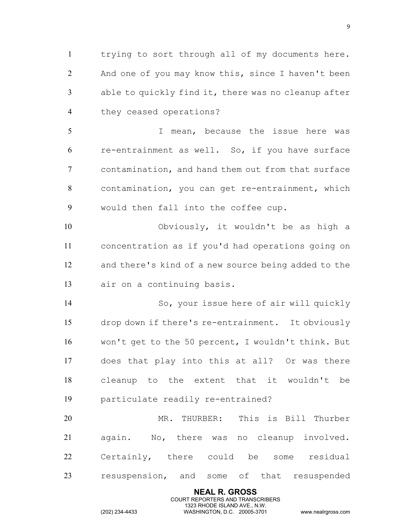trying to sort through all of my documents here. And one of you may know this, since I haven't been able to quickly find it, there was no cleanup after they ceased operations?

 I mean, because the issue here was re-entrainment as well. So, if you have surface contamination, and hand them out from that surface contamination, you can get re-entrainment, which would then fall into the coffee cup.

 Obviously, it wouldn't be as high a concentration as if you'd had operations going on and there's kind of a new source being added to the air on a continuing basis.

 So, your issue here of air will quickly drop down if there's re-entrainment. It obviously won't get to the 50 percent, I wouldn't think. But does that play into this at all? Or was there cleanup to the extent that it wouldn't be particulate readily re-entrained?

 MR. THURBER: This is Bill Thurber again. No, there was no cleanup involved. Certainly, there could be some residual resuspension, and some of that resuspended

> **NEAL R. GROSS** COURT REPORTERS AND TRANSCRIBERS 1323 RHODE ISLAND AVE., N.W.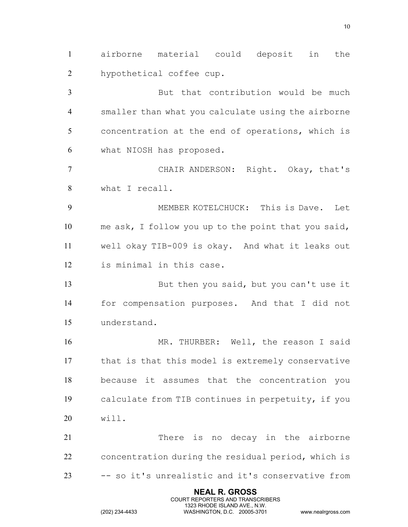airborne material could deposit in the hypothetical coffee cup.

 But that contribution would be much smaller than what you calculate using the airborne concentration at the end of operations, which is what NIOSH has proposed.

 CHAIR ANDERSON: Right. Okay, that's what I recall.

 MEMBER KOTELCHUCK: This is Dave. Let me ask, I follow you up to the point that you said, well okay TIB-009 is okay. And what it leaks out is minimal in this case.

13 But then you said, but you can't use it for compensation purposes. And that I did not understand.

16 MR. THURBER: Well, the reason I said that is that this model is extremely conservative because it assumes that the concentration you calculate from TIB continues in perpetuity, if you will.

 There is no decay in the airborne concentration during the residual period, which is -- so it's unrealistic and it's conservative from

> **NEAL R. GROSS** COURT REPORTERS AND TRANSCRIBERS 1323 RHODE ISLAND AVE., N.W.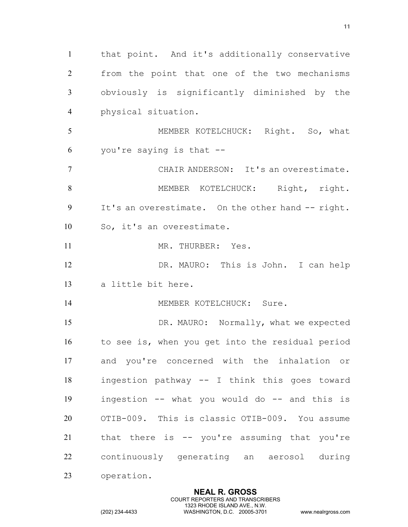that point. And it's additionally conservative from the point that one of the two mechanisms obviously is significantly diminished by the physical situation. MEMBER KOTELCHUCK: Right. So, what you're saying is that -- CHAIR ANDERSON: It's an overestimate. 8 MEMBER KOTELCHUCK: Right, right. It's an overestimate. On the other hand -- right. So, it's an overestimate. 11 MR. THURBER: Yes. DR. MAURO: This is John. I can help a little bit here. 14 MEMBER KOTELCHUCK: Sure. 15 DR. MAURO: Normally, what we expected to see is, when you get into the residual period and you're concerned with the inhalation or ingestion pathway -- I think this goes toward ingestion -- what you would do -- and this is OTIB-009. This is classic OTIB-009. You assume that there is -- you're assuming that you're continuously generating an aerosol during operation.

> **NEAL R. GROSS** COURT REPORTERS AND TRANSCRIBERS 1323 RHODE ISLAND AVE., N.W.

(202) 234-4433 WASHINGTON, D.C. 20005-3701 www.nealrgross.com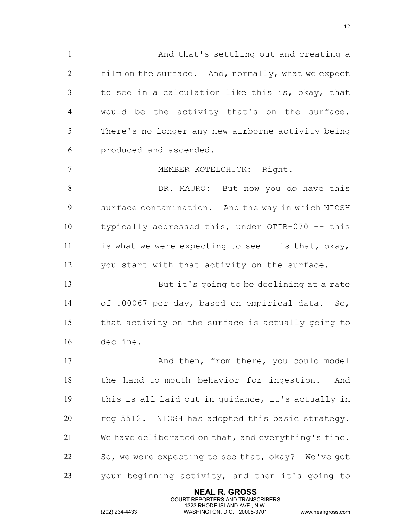And that's settling out and creating a film on the surface. And, normally, what we expect to see in a calculation like this is, okay, that would be the activity that's on the surface. There's no longer any new airborne activity being produced and ascended.

MEMBER KOTELCHUCK: Right.

8 But now you do have this surface contamination. And the way in which NIOSH typically addressed this, under OTIB-070 -- this is what we were expecting to see -- is that, okay, you start with that activity on the surface.

 But it's going to be declining at a rate of .00067 per day, based on empirical data. So, that activity on the surface is actually going to decline.

17 And then, from there, you could model the hand-to-mouth behavior for ingestion. And this is all laid out in guidance, it's actually in reg 5512. NIOSH has adopted this basic strategy. We have deliberated on that, and everything's fine. So, we were expecting to see that, okay? We've got your beginning activity, and then it's going to

> **NEAL R. GROSS** COURT REPORTERS AND TRANSCRIBERS 1323 RHODE ISLAND AVE., N.W.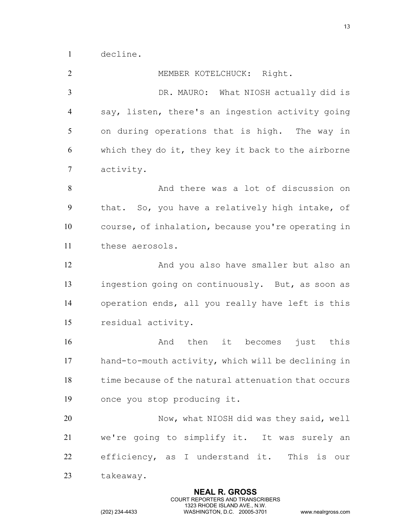decline.

 MEMBER KOTELCHUCK: Right. DR. MAURO: What NIOSH actually did is say, listen, there's an ingestion activity going on during operations that is high. The way in which they do it, they key it back to the airborne activity. And there was a lot of discussion on that. So, you have a relatively high intake, of course, of inhalation, because you're operating in these aerosols. And you also have smaller but also an ingestion going on continuously. But, as soon as operation ends, all you really have left is this residual activity. **And** then it becomes just this hand-to-mouth activity, which will be declining in time because of the natural attenuation that occurs once you stop producing it. Now, what NIOSH did was they said, well we're going to simplify it. It was surely an efficiency, as I understand it. This is our takeaway.

> **NEAL R. GROSS** COURT REPORTERS AND TRANSCRIBERS 1323 RHODE ISLAND AVE., N.W.

(202) 234-4433 WASHINGTON, D.C. 20005-3701 www.nealrgross.com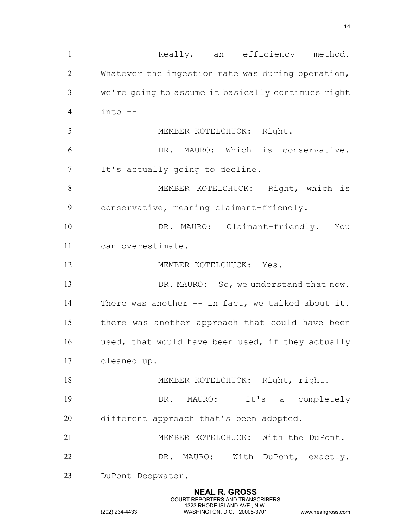1 Really, an efficiency method. Whatever the ingestion rate was during operation, we're going to assume it basically continues right into -- 5 MEMBER KOTELCHUCK: Right. DR. MAURO: Which is conservative. It's actually going to decline. MEMBER KOTELCHUCK: Right, which is conservative, meaning claimant-friendly. 10 DR. MAURO: Claimant-friendly. You can overestimate. 12 MEMBER KOTELCHUCK: Yes. 13 DR. MAURO: So, we understand that now. There was another -- in fact, we talked about it. there was another approach that could have been used, that would have been used, if they actually cleaned up. 18 MEMBER KOTELCHUCK: Right, right. DR. MAURO: It's a completely different approach that's been adopted. MEMBER KOTELCHUCK: With the DuPont. DR. MAURO: With DuPont, exactly. DuPont Deepwater.

> **NEAL R. GROSS** COURT REPORTERS AND TRANSCRIBERS 1323 RHODE ISLAND AVE., N.W.

(202) 234-4433 WASHINGTON, D.C. 20005-3701 www.nealrgross.com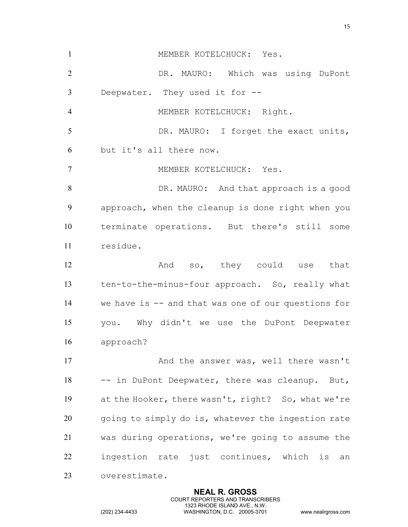1 MEMBER KOTELCHUCK: Yes. DR. MAURO: Which was using DuPont Deepwater. They used it for -- MEMBER KOTELCHUCK: Right. 5 DR. MAURO: I forget the exact units, but it's all there now. MEMBER KOTELCHUCK: Yes. DR. MAURO: And that approach is a good approach, when the cleanup is done right when you terminate operations. But there's still some residue. 12 And so, they could use that ten-to-the-minus-four approach. So, really what we have is -- and that was one of our questions for you. Why didn't we use the DuPont Deepwater approach? 17 And the answer was, well there wasn't 18 -- in DuPont Deepwater, there was cleanup. But, at the Hooker, there wasn't, right? So, what we're going to simply do is, whatever the ingestion rate was during operations, we're going to assume the ingestion rate just continues, which is an overestimate.

> **NEAL R. GROSS** COURT REPORTERS AND TRANSCRIBERS 1323 RHODE ISLAND AVE., N.W.

(202) 234-4433 WASHINGTON, D.C. 20005-3701 www.nealrgross.com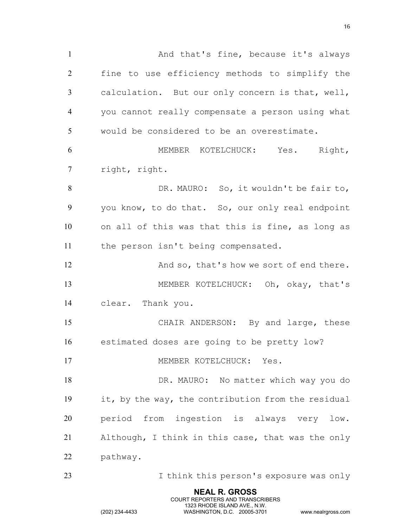1 And that's fine, because it's always fine to use efficiency methods to simplify the calculation. But our only concern is that, well, you cannot really compensate a person using what would be considered to be an overestimate. MEMBER KOTELCHUCK: Yes. Right, right, right. DR. MAURO: So, it wouldn't be fair to, you know, to do that. So, our only real endpoint on all of this was that this is fine, as long as the person isn't being compensated. 12 And so, that's how we sort of end there. MEMBER KOTELCHUCK: Oh, okay, that's clear. Thank you. CHAIR ANDERSON: By and large, these estimated doses are going to be pretty low? 17 MEMBER KOTELCHUCK: Yes. DR. MAURO: No matter which way you do it, by the way, the contribution from the residual period from ingestion is always very low. Although, I think in this case, that was the only pathway. I think this person's exposure was only

> **NEAL R. GROSS** COURT REPORTERS AND TRANSCRIBERS 1323 RHODE ISLAND AVE., N.W.

(202) 234-4433 WASHINGTON, D.C. 20005-3701 www.nealrgross.com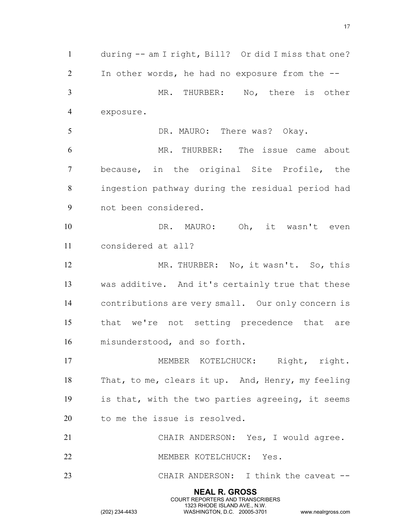**NEAL R. GROSS** COURT REPORTERS AND TRANSCRIBERS during -- am I right, Bill? Or did I miss that one? In other words, he had no exposure from the -- MR. THURBER: No, there is other exposure. 5 DR. MAURO: There was? Okay. MR. THURBER: The issue came about because, in the original Site Profile, the ingestion pathway during the residual period had not been considered. 10 DR. MAURO: Oh, it wasn't even considered at all? 12 MR. THURBER: No, it wasn't. So, this was additive. And it's certainly true that these contributions are very small. Our only concern is that we're not setting precedence that are misunderstood, and so forth. 17 MEMBER KOTELCHUCK: Right, right. That, to me, clears it up. And, Henry, my feeling is that, with the two parties agreeing, it seems to me the issue is resolved. CHAIR ANDERSON: Yes, I would agree. MEMBER KOTELCHUCK: Yes. 23 CHAIR ANDERSON: I think the caveat --

1323 RHODE ISLAND AVE., N.W.

(202) 234-4433 WASHINGTON, D.C. 20005-3701 www.nealrgross.com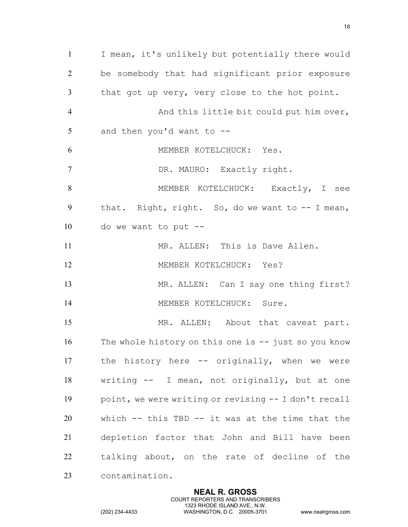I mean, it's unlikely but potentially there would be somebody that had significant prior exposure that got up very, very close to the hot point. And this little bit could put him over, and then you'd want to -- 6 MEMBER KOTELCHUCK: Yes. DR. MAURO: Exactly right. 8 MEMBER KOTELCHUCK: Exactly, I see that. Right, right. So, do we want to -- I mean, do we want to put -- MR. ALLEN: This is Dave Allen. 12 MEMBER KOTELCHUCK: Yes? MR. ALLEN: Can I say one thing first? 14 MEMBER KOTELCHUCK: Sure. 15 MR. ALLEN: About that caveat part. The whole history on this one is -- just so you know the history here -- originally, when we were writing -- I mean, not originally, but at one point, we were writing or revising -- I don't recall which -- this TBD -- it was at the time that the depletion factor that John and Bill have been talking about, on the rate of decline of the contamination.

> **NEAL R. GROSS** COURT REPORTERS AND TRANSCRIBERS 1323 RHODE ISLAND AVE., N.W.

(202) 234-4433 WASHINGTON, D.C. 20005-3701 www.nealrgross.com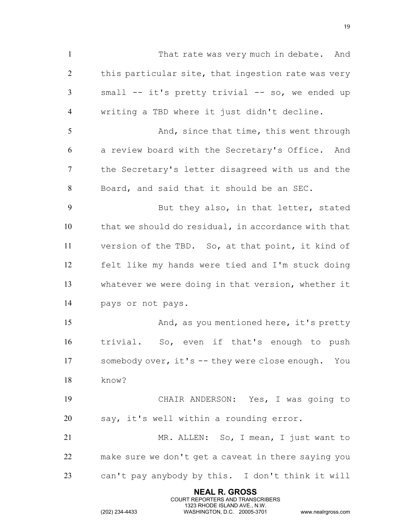**NEAL R. GROSS** That rate was very much in debate. And 2 this particular site, that ingestion rate was very small -- it's pretty trivial -- so, we ended up writing a TBD where it just didn't decline. 5 And, since that time, this went through a review board with the Secretary's Office. And the Secretary's letter disagreed with us and the Board, and said that it should be an SEC. 9 But they also, in that letter, stated that we should do residual, in accordance with that version of the TBD. So, at that point, it kind of felt like my hands were tied and I'm stuck doing whatever we were doing in that version, whether it pays or not pays. 15 And, as you mentioned here, it's pretty trivial. So, even if that's enough to push somebody over, it's -- they were close enough. You know? CHAIR ANDERSON: Yes, I was going to say, it's well within a rounding error. MR. ALLEN: So, I mean, I just want to make sure we don't get a caveat in there saying you can't pay anybody by this. I don't think it will

COURT REPORTERS AND TRANSCRIBERS 1323 RHODE ISLAND AVE., N.W.

(202) 234-4433 WASHINGTON, D.C. 20005-3701 www.nealrgross.com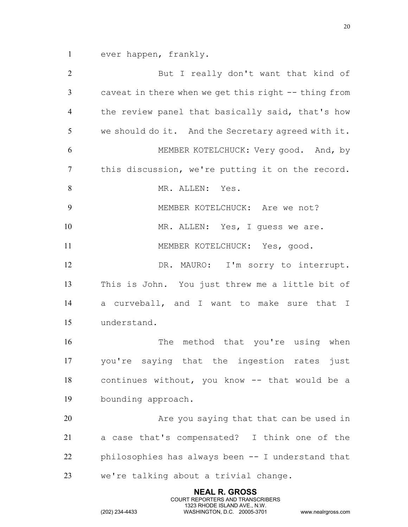ever happen, frankly.

 But I really don't want that kind of caveat in there when we get this right -- thing from the review panel that basically said, that's how we should do it. And the Secretary agreed with it. MEMBER KOTELCHUCK: Very good. And, by this discussion, we're putting it on the record. 8 MR. ALLEN: Yes. MEMBER KOTELCHUCK: Are we not? 10 MR. ALLEN: Yes, I guess we are. 11 MEMBER KOTELCHUCK: Yes, good. 12 DR. MAURO: I'm sorry to interrupt. This is John. You just threw me a little bit of a curveball, and I want to make sure that I understand. 16 The method that you're using when you're saying that the ingestion rates just continues without, you know -- that would be a bounding approach. Are you saying that that can be used in a case that's compensated? I think one of the philosophies has always been -- I understand that we're talking about a trivial change.

> **NEAL R. GROSS** COURT REPORTERS AND TRANSCRIBERS 1323 RHODE ISLAND AVE., N.W.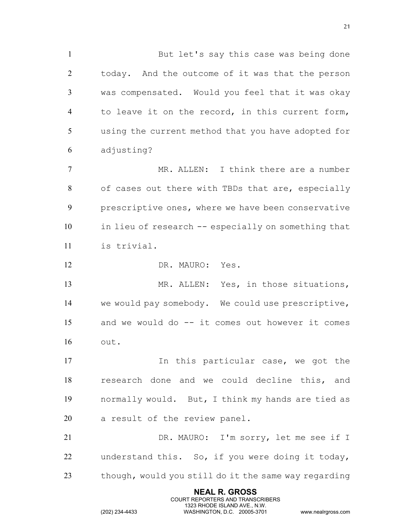But let's say this case was being done today. And the outcome of it was that the person was compensated. Would you feel that it was okay to leave it on the record, in this current form, using the current method that you have adopted for adjusting? MR. ALLEN: I think there are a number 8 of cases out there with TBDs that are, especially

 prescriptive ones, where we have been conservative in lieu of research -- especially on something that is trivial.

DR. MAURO: Yes.

 MR. ALLEN: Yes, in those situations, we would pay somebody. We could use prescriptive, and we would do -- it comes out however it comes out.

17 11 In this particular case, we got the research done and we could decline this, and normally would. But, I think my hands are tied as a result of the review panel.

 DR. MAURO: I'm sorry, let me see if I understand this. So, if you were doing it today, though, would you still do it the same way regarding

> **NEAL R. GROSS** COURT REPORTERS AND TRANSCRIBERS 1323 RHODE ISLAND AVE., N.W.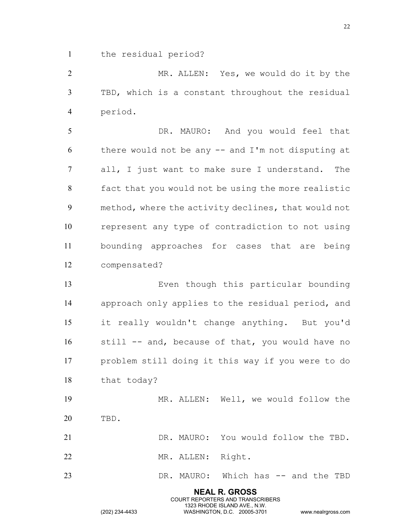the residual period?

 MR. ALLEN: Yes, we would do it by the TBD, which is a constant throughout the residual period.

 DR. MAURO: And you would feel that there would not be any -- and I'm not disputing at all, I just want to make sure I understand. The fact that you would not be using the more realistic method, where the activity declines, that would not represent any type of contradiction to not using bounding approaches for cases that are being compensated?

 Even though this particular bounding approach only applies to the residual period, and it really wouldn't change anything. But you'd still -- and, because of that, you would have no problem still doing it this way if you were to do that today?

 MR. ALLEN: Well, we would follow the TBD. DR. MAURO: You would follow the TBD.

22 MR. ALLEN: Right.

DR. MAURO: Which has -- and the TBD

**NEAL R. GROSS** COURT REPORTERS AND TRANSCRIBERS 1323 RHODE ISLAND AVE., N.W.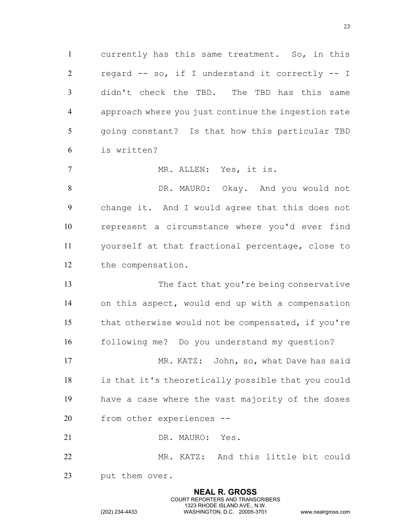currently has this same treatment. So, in this regard -- so, if I understand it correctly -- I didn't check the TBD. The TBD has this same approach where you just continue the ingestion rate going constant? Is that how this particular TBD is written?

7 MR. ALLEN: Yes, it is.

 DR. MAURO: Okay. And you would not change it. And I would agree that this does not represent a circumstance where you'd ever find yourself at that fractional percentage, close to the compensation.

13 The fact that you're being conservative on this aspect, would end up with a compensation that otherwise would not be compensated, if you're following me? Do you understand my question? 17 MR. KATZ: John, so, what Dave has said is that it's theoretically possible that you could have a case where the vast majority of the doses from other experiences --

DR. MAURO: Yes.

 MR. KATZ: And this little bit could put them over.

> **NEAL R. GROSS** COURT REPORTERS AND TRANSCRIBERS 1323 RHODE ISLAND AVE., N.W.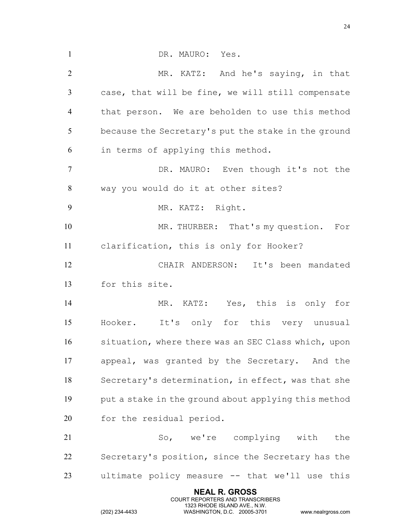**NEAL R. GROSS** 1 DR. MAURO: Yes. MR. KATZ: And he's saying, in that case, that will be fine, we will still compensate that person. We are beholden to use this method because the Secretary's put the stake in the ground in terms of applying this method. 7 DR. MAURO: Even though it's not the way you would do it at other sites? 9 MR. KATZ: Right. 10 MR. THURBER: That's my question. For clarification, this is only for Hooker? CHAIR ANDERSON: It's been mandated for this site. MR. KATZ: Yes, this is only for Hooker. It's only for this very unusual situation, where there was an SEC Class which, upon appeal, was granted by the Secretary. And the Secretary's determination, in effect, was that she put a stake in the ground about applying this method for the residual period. So, we're complying with the Secretary's position, since the Secretary has the ultimate policy measure -- that we'll use this

COURT REPORTERS AND TRANSCRIBERS 1323 RHODE ISLAND AVE., N.W.

(202) 234-4433 WASHINGTON, D.C. 20005-3701 www.nealrgross.com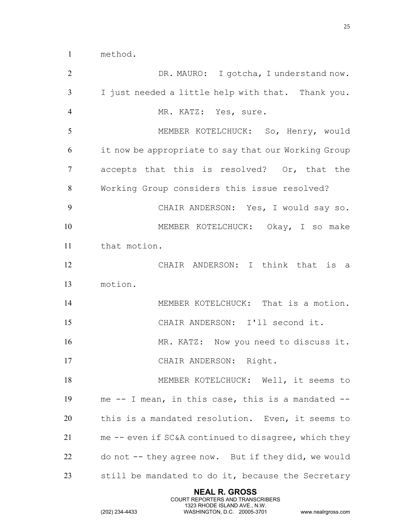| 2               | DR. MAURO: I gotcha, I understand now.               |
|-----------------|------------------------------------------------------|
| $\mathfrak{Z}$  | I just needed a little help with that. Thank you.    |
| $\overline{4}$  | MR. KATZ: Yes, sure.                                 |
| 5               | MEMBER KOTELCHUCK: So, Henry, would                  |
| 6               | it now be appropriate to say that our Working Group  |
| $7\phantom{.0}$ | accepts that this is resolved? Or, that the          |
| 8               | Working Group considers this issue resolved?         |
| 9               | CHAIR ANDERSON: Yes, I would say so.                 |
| 10              | MEMBER KOTELCHUCK: Okay, I so make                   |
| 11              | that motion.                                         |
| 12              | CHAIR ANDERSON: I think that is a                    |
| 13              | motion.                                              |
| 14              | MEMBER KOTELCHUCK: That is a motion.                 |
| 15              | CHAIR ANDERSON: I'll second it.                      |
| 16              | MR. KATZ: Now you need to discuss it.                |
| 17              | CHAIR ANDERSON: Right.                               |
| 18              | MEMBER KOTELCHUCK: Well, it seems to                 |
| 19              | me -- I mean, in this case, this is a mandated --    |
| 20              | this is a mandated resolution. Even, it seems to     |
| 21              | me -- even if SC&A continued to disagree, which they |
| 22              | do not -- they agree now. But if they did, we would  |
| 23              | still be mandated to do it, because the Secretary    |

**NEAL R. GROSS** COURT REPORTERS AND TRANSCRIBERS 1323 RHODE ISLAND AVE., N.W.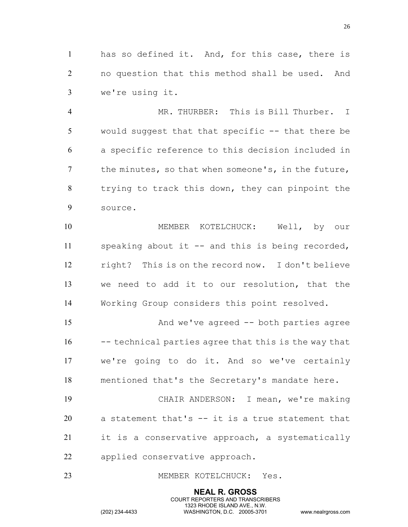has so defined it. And, for this case, there is no question that this method shall be used. And we're using it.

 MR. THURBER: This is Bill Thurber. I would suggest that that specific -- that there be a specific reference to this decision included in 7 the minutes, so that when someone's, in the future, trying to track this down, they can pinpoint the source.

 MEMBER KOTELCHUCK: Well, by our speaking about it -- and this is being recorded, right? This is on the record now. I don't believe we need to add it to our resolution, that the Working Group considers this point resolved.

 And we've agreed -- both parties agree 16 --- technical parties agree that this is the way that we're going to do it. And so we've certainly mentioned that's the Secretary's mandate here.

 CHAIR ANDERSON: I mean, we're making a statement that's -- it is a true statement that it is a conservative approach, a systematically applied conservative approach.

> **NEAL R. GROSS** COURT REPORTERS AND TRANSCRIBERS 1323 RHODE ISLAND AVE., N.W.

## 23 MEMBER KOTELCHUCK: Yes.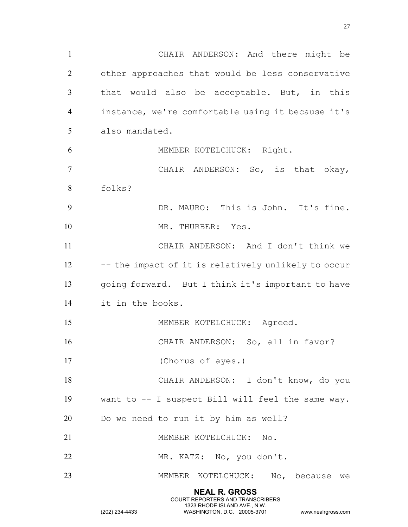**NEAL R. GROSS** COURT REPORTERS AND TRANSCRIBERS CHAIR ANDERSON: And there might be other approaches that would be less conservative that would also be acceptable. But, in this instance, we're comfortable using it because it's also mandated. MEMBER KOTELCHUCK: Right. CHAIR ANDERSON: So, is that okay, folks? DR. MAURO: This is John. It's fine. 10 MR. THURBER: Yes. CHAIR ANDERSON: And I don't think we -- the impact of it is relatively unlikely to occur going forward. But I think it's important to have it in the books. 15 MEMBER KOTELCHUCK: Agreed. CHAIR ANDERSON: So, all in favor? (Chorus of ayes.) CHAIR ANDERSON: I don't know, do you want to -- I suspect Bill will feel the same way. Do we need to run it by him as well? MEMBER KOTELCHUCK: No. MR. KATZ: No, you don't. MEMBER KOTELCHUCK: No, because we

1323 RHODE ISLAND AVE., N.W.

(202) 234-4433 WASHINGTON, D.C. 20005-3701 www.nealrgross.com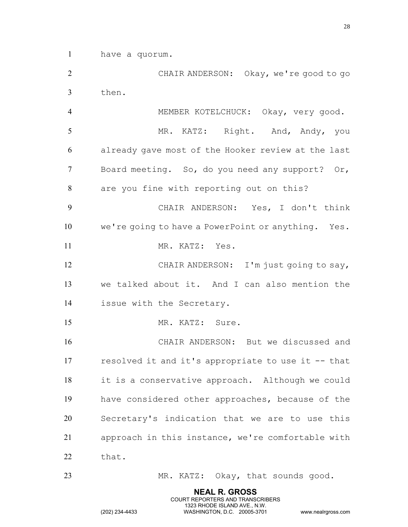have a quorum.

 CHAIR ANDERSON: Okay, we're good to go then.

 MEMBER KOTELCHUCK: Okay, very good. MR. KATZ: Right. And, Andy, you already gave most of the Hooker review at the last Board meeting. So, do you need any support? Or, are you fine with reporting out on this? CHAIR ANDERSON: Yes, I don't think we're going to have a PowerPoint or anything. Yes. 11 MR. KATZ: Yes. 12 CHAIR ANDERSON: I'm just going to say, we talked about it. And I can also mention the issue with the Secretary. 15 MR. KATZ: Sure. CHAIR ANDERSON: But we discussed and resolved it and it's appropriate to use it -- that it is a conservative approach. Although we could have considered other approaches, because of the Secretary's indication that we are to use this approach in this instance, we're comfortable with 22 that.

23 MR. KATZ: Okay, that sounds good.

**NEAL R. GROSS** COURT REPORTERS AND TRANSCRIBERS 1323 RHODE ISLAND AVE., N.W.